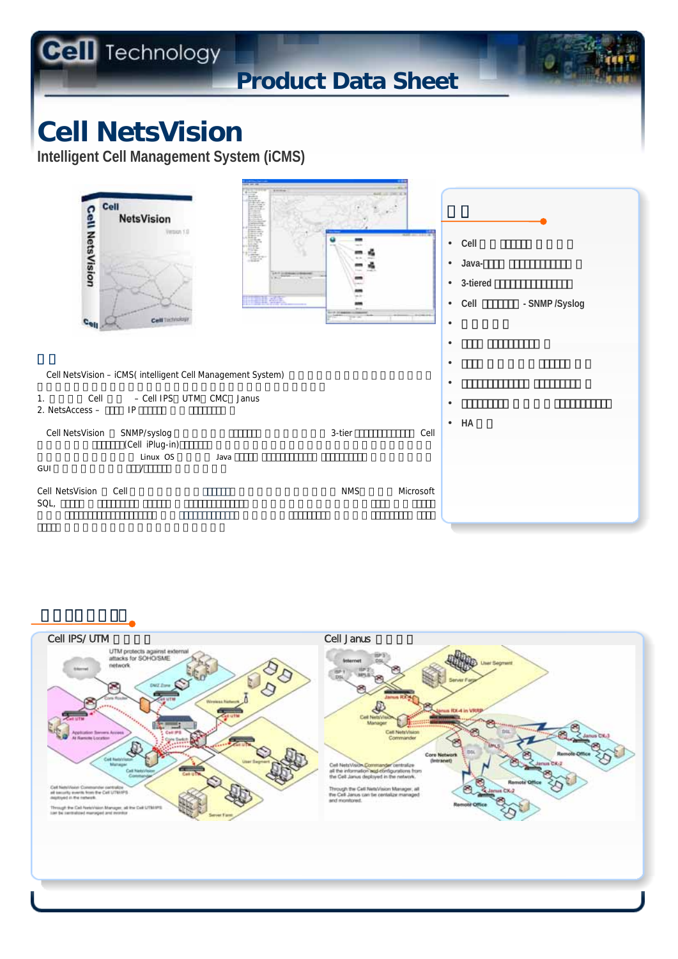